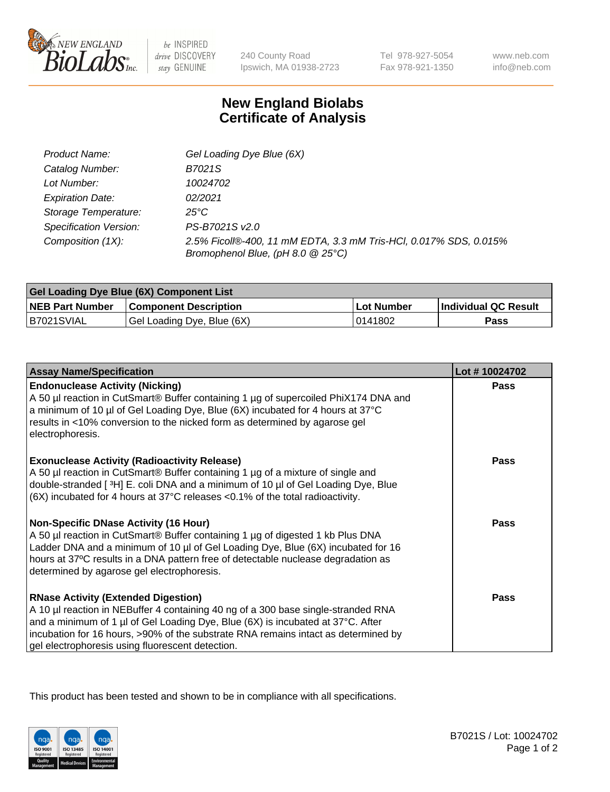

 $be$  INSPIRED drive DISCOVERY stay GENUINE

240 County Road Ipswich, MA 01938-2723 Tel 978-927-5054 Fax 978-921-1350 www.neb.com info@neb.com

## **New England Biolabs Certificate of Analysis**

| Product Name:           | Gel Loading Dye Blue (6X)                                                                              |
|-------------------------|--------------------------------------------------------------------------------------------------------|
| Catalog Number:         | B7021S                                                                                                 |
| Lot Number:             | 10024702                                                                                               |
| <b>Expiration Date:</b> | 02/2021                                                                                                |
| Storage Temperature:    | 25°C                                                                                                   |
| Specification Version:  | PS-B7021S v2.0                                                                                         |
| Composition (1X):       | 2.5% Ficoll®-400, 11 mM EDTA, 3.3 mM Tris-HCl, 0.017% SDS, 0.015%<br>Bromophenol Blue, (pH 8.0 @ 25°C) |

| Gel Loading Dye Blue (6X) Component List |                              |            |                      |  |
|------------------------------------------|------------------------------|------------|----------------------|--|
| <b>NEB Part Number</b>                   | <b>Component Description</b> | Lot Number | Individual QC Result |  |
| B7021SVIAL                               | Gel Loading Dye, Blue (6X)   | 10141802   | Pass                 |  |

| <b>Assay Name/Specification</b>                                                                                                                                                                                                                                                                                                                              | Lot #10024702 |
|--------------------------------------------------------------------------------------------------------------------------------------------------------------------------------------------------------------------------------------------------------------------------------------------------------------------------------------------------------------|---------------|
| <b>Endonuclease Activity (Nicking)</b><br>A 50 µl reaction in CutSmart® Buffer containing 1 µg of supercoiled PhiX174 DNA and<br>a minimum of 10 µl of Gel Loading Dye, Blue (6X) incubated for 4 hours at 37°C<br>results in <10% conversion to the nicked form as determined by agarose gel<br>electrophoresis.                                            | Pass          |
| <b>Exonuclease Activity (Radioactivity Release)</b><br>A 50 µl reaction in CutSmart® Buffer containing 1 µg of a mixture of single and<br>double-stranded [3H] E. coli DNA and a minimum of 10 µl of Gel Loading Dye, Blue<br>$(6X)$ incubated for 4 hours at 37 $^{\circ}$ C releases <0.1% of the total radioactivity.                                     | <b>Pass</b>   |
| <b>Non-Specific DNase Activity (16 Hour)</b><br>A 50 µl reaction in CutSmart® Buffer containing 1 µg of digested 1 kb Plus DNA<br>Ladder DNA and a minimum of 10 µl of Gel Loading Dye, Blue (6X) incubated for 16<br>hours at 37°C results in a DNA pattern free of detectable nuclease degradation as<br>determined by agarose gel electrophoresis.        | <b>Pass</b>   |
| <b>RNase Activity (Extended Digestion)</b><br>A 10 µl reaction in NEBuffer 4 containing 40 ng of a 300 base single-stranded RNA<br>and a minimum of 1 µl of Gel Loading Dye, Blue (6X) is incubated at 37°C. After<br>incubation for 16 hours, >90% of the substrate RNA remains intact as determined by<br>gel electrophoresis using fluorescent detection. | <b>Pass</b>   |

This product has been tested and shown to be in compliance with all specifications.